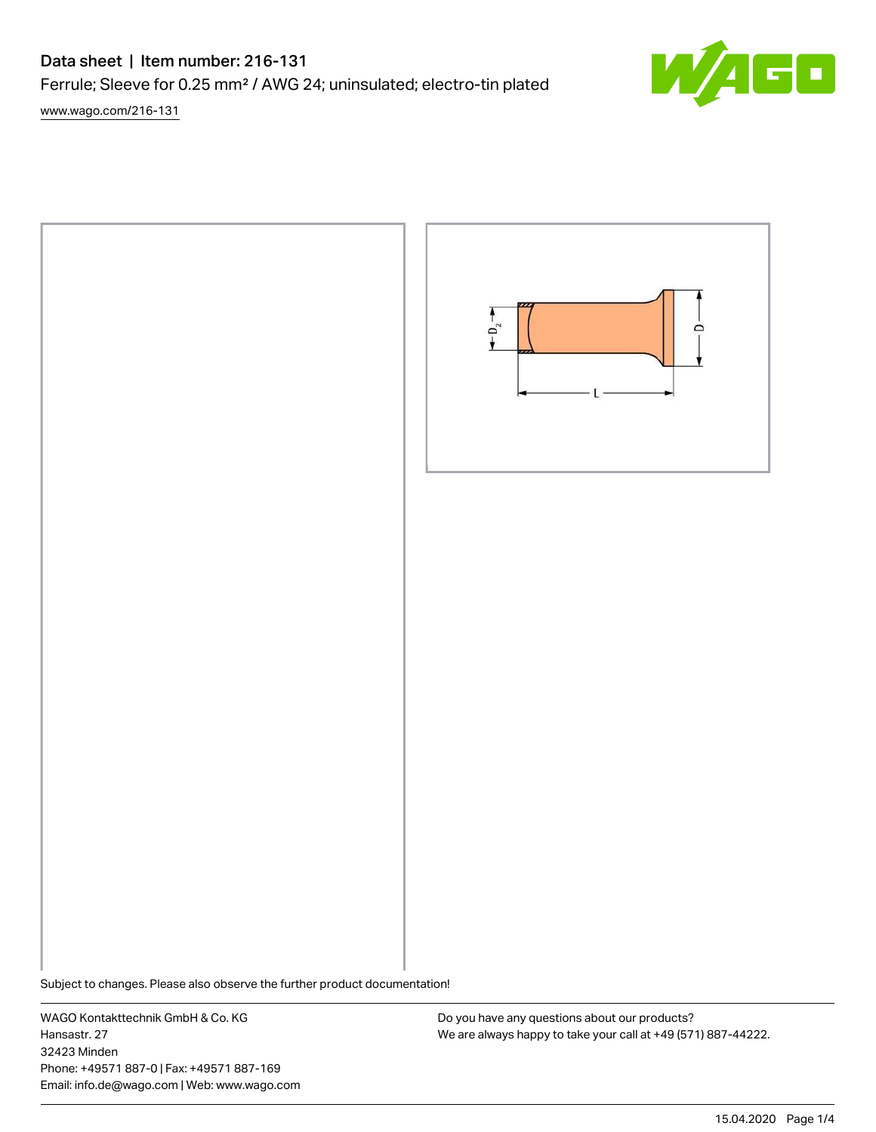# Data sheet | Item number: 216-131

Ferrule; Sleeve for 0.25 mm² / AWG 24; uninsulated; electro-tin plated

[www.wago.com/216-131](http://www.wago.com/216-131)



Subject to changes. Please also observe the further product documentation!

WAGO Kontakttechnik GmbH & Co. KG Hansastr. 27 32423 Minden Phone: +49571 887-0 | Fax: +49571 887-169 Email: info.de@wago.com | Web: www.wago.com

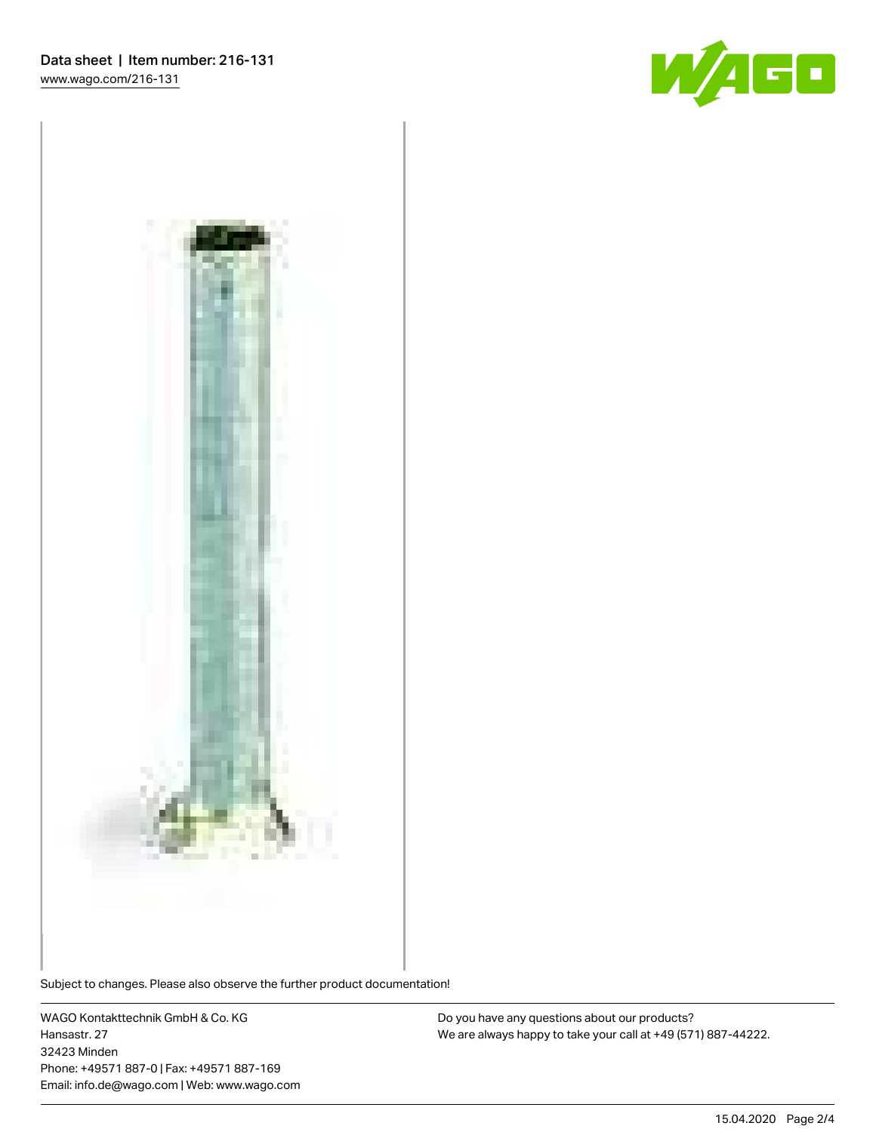



Subject to changes. Please also observe the further product documentation!

WAGO Kontakttechnik GmbH & Co. KG Hansastr. 27 32423 Minden Phone: +49571 887-0 | Fax: +49571 887-169 Email: info.de@wago.com | Web: www.wago.com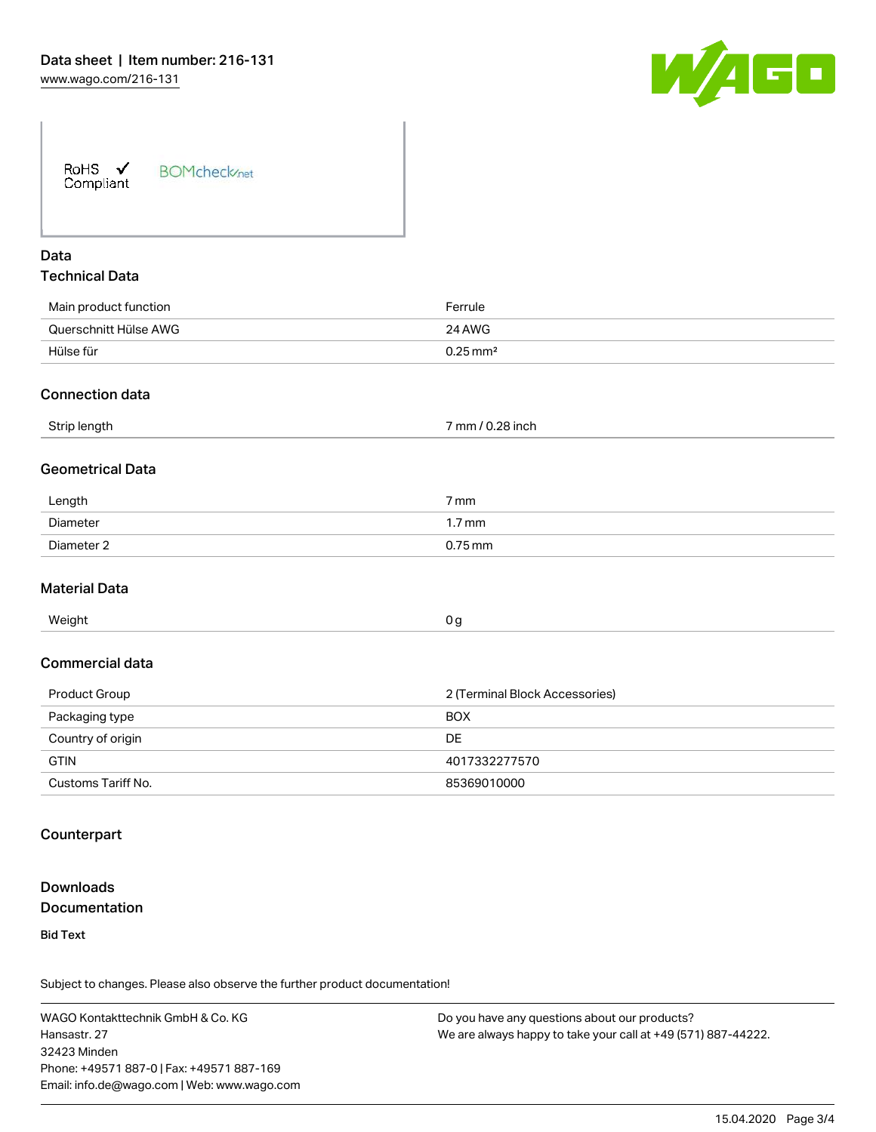

| <b>BOMcheck</b> /net |
|----------------------|
|                      |

## Data Technical Data

| Main product function | Ferrule                |
|-----------------------|------------------------|
| Querschnitt Hülse AWG | 24 AWG                 |
| Hülse für             | $0.25 \,\mathrm{mm}^2$ |
|                       |                        |

#### Connection data

| Strip length<br>. . | $\sim$<br>mm/<br>.28 inch |
|---------------------|---------------------------|
|---------------------|---------------------------|

#### Geometrical Data

| Length     | -<br>7 mm |
|------------|-----------|
| Diameter   | 1.7 mm    |
| Diameter 2 | $0.75$ mm |

#### Material Data

| Weight | 0 a |
|--------|-----|
|        | . . |

#### Commercial data

| Product Group      | 2 (Terminal Block Accessories) |
|--------------------|--------------------------------|
| Packaging type     | <b>BOX</b>                     |
| Country of origin  | DE                             |
| <b>GTIN</b>        | 4017332277570                  |
| Customs Tariff No. | 85369010000                    |

### **Counterpart**

## **Downloads Documentation**

Bid Text

Subject to changes. Please also observe the further product documentation!

WAGO Kontakttechnik GmbH & Co. KG Hansastr. 27 32423 Minden Phone: +49571 887-0 | Fax: +49571 887-169 Email: info.de@wago.com | Web: www.wago.com